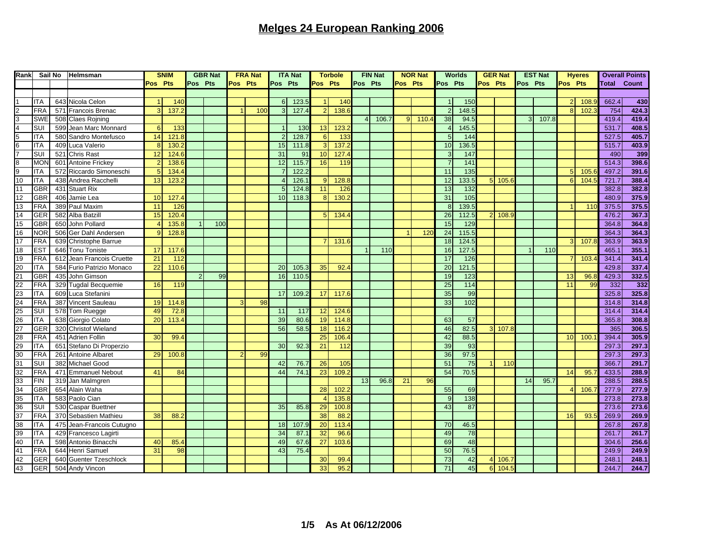| Rank            | Sail No                   |     | Helmsman                  |         | <b>SNIM</b>     | <b>GBR Nat</b> |     |         | <b>FRA Nat</b>  | <b>ITA Nat</b> |                 | <b>Torbole</b> |                 | <b>FIN Nat</b> |       | <b>NOR Nat</b> |       |                | <b>Worlds</b>   |         | <b>GER Nat</b> |         | <b>EST Nat</b> |                | <b>Hyeres</b> |                    | <b>Overall Points</b> |
|-----------------|---------------------------|-----|---------------------------|---------|-----------------|----------------|-----|---------|-----------------|----------------|-----------------|----------------|-----------------|----------------|-------|----------------|-------|----------------|-----------------|---------|----------------|---------|----------------|----------------|---------------|--------------------|-----------------------|
|                 |                           |     |                           | Pos Pts |                 | Pos Pts        |     | Pos Pts |                 | Pos Pts        |                 | Pos Pts        |                 | Pos Pts        |       | Pos Pts        |       | Pos Pts        |                 | Pos Pts |                | Pos Pts |                | Pos Pts        |               | <b>Total Count</b> |                       |
|                 |                           |     |                           |         |                 |                |     |         |                 |                |                 |                |                 |                |       |                |       |                |                 |         |                |         |                |                |               |                    |                       |
|                 | ITA                       |     | 643 Nicola Celon          |         | 140             |                |     |         |                 | 6              | 123.5           |                | 140             |                |       |                |       |                | 150             |         |                |         |                | $\overline{2}$ | 108.9         | 662.4              | 430                   |
| 2               | <b>FRA</b>                |     | 571 Francois Brenac       | 3       | 137.            |                |     |         | 10 <sub>C</sub> | 3              | 127.4           | $\overline{2}$ | 138.            |                |       |                |       | $\overline{2}$ | 148.5           |         |                |         |                | 8              | 102.          | 754                | 424.3                 |
| 3               | <b>SWE</b>                |     | 508 Claes Rojning         |         |                 |                |     |         |                 |                |                 |                |                 | 4              | 106.7 | 9              | 110.4 | 38             | 94.5            |         |                | 3       | 107.8          |                |               | 419.4              | 419.4                 |
| $\overline{4}$  | SUI                       |     | 599 Jean Marc Monnard     | 6       | 133             |                |     |         |                 |                | 13 <sub>0</sub> | 13             | 123.            |                |       |                |       | $\overline{4}$ | 145.5           |         |                |         |                |                |               | 531.7              | 408.5                 |
| 5               | <b>TA</b>                 |     | 580 Sandro Montefusco     | 14      | 121.            |                |     |         |                 |                | 128.7           | 6              | 133             |                |       |                |       | 5              | 144             |         |                |         |                |                |               | 527.5              | 405.7                 |
| 6               | ITA                       |     | 409 Luca Valerio          | 8       | 130.            |                |     |         |                 | 15             | 111.8           | 3              | 137.2           |                |       |                |       | 10             | 136.5           |         |                |         |                |                |               | 515.7              | 403.9                 |
| $\overline{7}$  | <b>SUI</b>                |     | 521 Chris Rast            | 12      |                 |                |     |         |                 | 31             | 91              |                |                 |                |       |                |       | 3              | $\frac{147}{2}$ |         |                |         |                |                |               | 490                | 399                   |
|                 |                           |     |                           |         | 124.            |                |     |         |                 |                |                 | 10             | 127.            |                |       |                |       | $\overline{7}$ |                 |         |                |         |                |                |               |                    | 398.6                 |
| $\bf{8}$        | <b>MON</b>                |     | 601 Antoine Frickey       |         | 138.            |                |     |         |                 | 12             | 115.7           | 16             | 11 <sup>5</sup> |                |       |                |       |                | 141             |         |                |         |                |                |               | 514.3              |                       |
| 9               | <b>ITA</b>                |     | 572 Riccardo Simoneschi   |         | 134.            |                |     |         |                 |                | 122.2           |                |                 |                |       |                |       | 11             | 135             |         |                |         |                | 5              | 105           | 497.2              | 391.6                 |
| 10              | ITA                       |     | 438 Andrea Racchelli      | 13      | 123.            |                |     |         |                 |                | 126.            | 9              | 128.            |                |       |                |       | 12             | 133.5           |         | $5$   105.6    |         |                | 6              | 104.          | 721.7              | 388.4                 |
| 11              | GBR                       |     | 431 Stuart Rix            |         |                 |                |     |         |                 |                | 124.8           | 11             | 126             |                |       |                |       | 13             | 132             |         |                |         |                |                |               | 382.8              | 382.8                 |
| 12              | GBR                       |     | 406 Jamie Lea             | 10      | 127.4           |                |     |         |                 | 10             | 118.3           | 8              | 130.            |                |       |                |       | 31             | 105             |         |                |         |                |                |               | 480.9              | 375.9                 |
| 13              | FRA                       |     | 389 Paul Maxim            | 11      | 126             |                |     |         |                 |                |                 |                |                 |                |       |                |       | $\mathbf{8}$   | 139.5           |         |                |         |                |                | 11(           | 375.5              | 375.5                 |
| 14              | GER                       |     | 582 Alba Batzill          | 15      | 120.4           |                |     |         |                 |                |                 | 5              | 134.            |                |       |                |       | 26             | 112.5           |         | 2 108.9        |         |                |                |               | 476.2              | 367.3                 |
| 15              | GBR                       |     | 650 John Pollard          |         | 135.            |                | 100 |         |                 |                |                 |                |                 |                |       |                |       | 15             | 129             |         |                |         |                |                |               | 364.8              | 364.8                 |
| 16              | <b>NOR</b>                |     | 506 Ger Dahl Andersen     |         | 128.            |                |     |         |                 |                |                 |                |                 |                |       |                | 120   | 24             | 115.5           |         |                |         |                |                |               | 364.3              | 364.3                 |
| 17              | FRA                       |     | 639 Christophe Barrue     |         |                 |                |     |         |                 |                |                 | 7              | 131.6           |                |       |                |       | 18             | 124.5           |         |                |         |                | $\mathbf{3}$   | 107.          | 363.9              | 363.9                 |
| 18              | ES <sub>T</sub>           |     | 646 Tonu Toniste          | 17      | 117.6           |                |     |         |                 |                |                 |                |                 |                | 11C   |                |       | 16             | 127.5           |         |                |         | 110            |                |               | 465.               | 355.1                 |
| 19              | <b>FRA</b>                |     | 612 Jean Francois Cruette | 21      | 112             |                |     |         |                 |                |                 |                |                 |                |       |                |       | 17             | 126             |         |                |         |                | $\overline{7}$ | 103.          | 341.4              | 341.4                 |
| 20              | ITA                       |     | 584 Furio Patrizio Monaco | 22      | 110.            |                |     |         |                 | 20             | 105.            | 35             | 92.4            |                |       |                |       | 20             | 121.5           |         |                |         |                |                |               | 429.8              | 337.4                 |
| 21              | GBR                       |     | 435 John Gimson           |         |                 | $\mathcal{P}$  | 99  |         |                 | 16             | 110.5           |                |                 |                |       |                |       | 19             | 123             |         |                |         |                | 13             | 96.           | 429.3              | 332.5                 |
| 22              | FRA                       |     | 329 Tugdal Becquemie      | 16      | 11 <sub>5</sub> |                |     |         |                 |                |                 |                |                 |                |       |                |       | 25             | 114             |         |                |         |                | 11             | 99            | 332                | 332                   |
| 23              | <b>ITA</b>                |     | 609 Luca Stefanini        |         |                 |                |     |         |                 | 17             | 109.2           | 17             | 117.0           |                |       |                |       | 35             | 99              |         |                |         |                |                |               | 325.8              | 325.8                 |
| 24              | <b>FRA</b>                |     | 387 Vincent Sauleau       | 19      | 114.8           |                |     |         | 98              |                |                 |                |                 |                |       |                |       | 33             | 102             |         |                |         |                |                |               | 314.8              | 314.8                 |
| 25              | SUI                       |     | 578 Tom Ruegge            | 49      | 72.8            |                |     |         |                 | 11             | 117             | 12             | 124.            |                |       |                |       |                |                 |         |                |         |                |                |               | 314.4              | 314.4                 |
| 26              | <b>ITA</b>                |     | 638 Giorgio Colato        | 20      | 113.4           |                |     |         |                 | 39             | 80.6            | 19             | 114.            |                |       |                |       | 63             | 57              |         |                |         |                |                |               | 365.8              | 308.8                 |
| 27              | <b>GER</b>                |     | 320 Christof Wieland      |         |                 |                |     |         |                 | 56             | 58.5            | 18             | 116.            |                |       |                |       | 46             | 82.5            |         | $3 \ 107.8$    |         |                |                |               | 365                | 306.5                 |
| 28              | <b>FRA</b>                |     | 451 Adrien Follin         | 30      | 99.             |                |     |         |                 |                |                 | 25             | 106.            |                |       |                |       | 42             | 88.5            |         |                |         |                | 10             | 100           | 394.4              | 305.9                 |
| 29              | $\overline{\mathsf{ITA}}$ | 651 | Stefano Di Properzio      |         |                 |                |     |         |                 | 30             | 92.             | 21             | 112             |                |       |                |       | 39             | 93              |         |                |         |                |                |               | 297.3              | 297.3                 |
| 30              | <b>FRA</b>                |     | 261 Antoine Albaret       | 29      | 100.            |                |     |         | 99              |                |                 |                |                 |                |       |                |       | 36             | 97.5            |         |                |         |                |                |               | 297.3              | 297.3                 |
| 31              | SUI                       |     | 382 Michael Good          |         |                 |                |     |         |                 | 42             | 76.             | 26             | 105             |                |       |                |       | 51             | 75              |         | 110            |         |                |                |               | 366.7              | 291.7                 |
| 32              | <b>FRA</b>                |     | 471 Emmanuel Nebout       | 41      | 84              |                |     |         |                 | 44             | 74.             | 23             | 109.            |                |       |                |       | 54             | 70.5            |         |                |         |                | 14             | 95.           | 433.5              | 288.9                 |
| 33              | <b>FIN</b>                |     | 319 Jan Malmgren          |         |                 |                |     |         |                 |                |                 |                |                 | 13             | 96.8  | 21             | 96    |                |                 |         |                | 14      | 95.            |                |               | 288.5              | 288.5                 |
| 34              | GBR                       |     | 654 Alain Waha            |         |                 |                |     |         |                 |                |                 | 28             | 102.            |                |       |                |       | 55             | 69              |         |                |         |                | 4              | 106.          | 277.9              | 277.9                 |
| $\overline{35}$ | <b>ITA</b>                |     | 583 Paolo Cian            |         |                 |                |     |         |                 |                |                 | $\overline{4}$ | 135.            |                |       |                |       | $\overline{9}$ | 138             |         |                |         |                |                |               | 273.8              | 273.8                 |
|                 |                           |     |                           |         |                 |                |     |         |                 |                |                 |                |                 |                |       |                |       |                |                 |         |                |         |                |                |               |                    |                       |
| 36              | SUI                       |     | 530 Caspar Buettner       |         |                 |                |     |         |                 | 35             | 85.8            | 29             | 100.            |                |       |                |       | 43             | 87              |         |                |         |                |                |               | 273.6              | 273.6                 |
| 37              | <b>FRA</b>                |     | 370 Sebastien Mathieu     | 38      | 88.             |                |     |         |                 |                |                 | 38             | 88.             |                |       |                |       |                |                 |         |                |         |                | 16             | 93.           | 269.9              | 269.9                 |
| 38              | ITA                       |     | 475 Jean-Francois Cutugno |         |                 |                |     |         |                 | 18             | 107.            | 20             | 113.            |                |       |                |       | 70             | 46.5            |         |                |         |                |                |               | 267.8              | 267.8                 |
| 39              | <b>ITA</b>                |     | 429 Francesco Lagirti     |         |                 |                |     |         |                 | 34             | 87.7            | 32             | 96.             |                |       |                |       | 49             | 78              |         |                |         |                |                |               | 261.7              | 261.7                 |
| 40              | ITA                       |     | 598 Antonio Binacchi      | 40      | 85.4            |                |     |         |                 | 49             | 67.6            | 27             | 103.            |                |       |                |       | 69             | 48              |         |                |         |                |                |               | 304.6              | 256.6                 |
| 41              | <b>FRA</b>                |     | 644 Henri Samuel          | 31      | 98              |                |     |         |                 | 43             | 75.4            |                |                 |                |       |                |       | 50             | 76.5            |         |                |         |                |                |               | 249.9              | 249.9                 |
| 42              | GER                       |     | 640 Guenter Tzeschlock    |         |                 |                |     |         |                 |                |                 | 30             | 99.             |                |       |                |       | 73             | 42              |         | $4$ 106.       |         |                |                |               | 248.1              | 248.1                 |
| 43              | <b>GER</b>                |     | 504 Andy Vincon           |         |                 |                |     |         |                 |                |                 | 33             | 95.             |                |       |                |       | 71             | 45              |         | 6 104          |         |                |                |               | 244.7              | 244.7                 |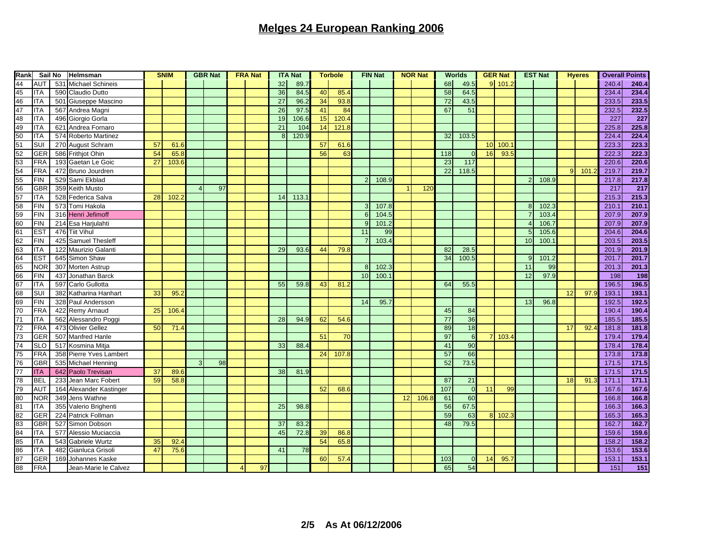| Rank            |                  | Sail No<br>Helmsman |                         |    | <b>SNIM</b> |   | <b>GBR Nat</b> |  | <b>FRA Nat</b> |                 | <b>ITA Nat</b> |    | <b>Torbole</b> |                | <b>FIN Nat</b> |    | <b>NOR Nat</b> |                 | <b>Worlds</b> |                         | <b>GER Nat</b> |                         | <b>EST Nat</b> |              | <b>Hyeres</b> |                  | <b>Overall Points</b> |
|-----------------|------------------|---------------------|-------------------------|----|-------------|---|----------------|--|----------------|-----------------|----------------|----|----------------|----------------|----------------|----|----------------|-----------------|---------------|-------------------------|----------------|-------------------------|----------------|--------------|---------------|------------------|-----------------------|
| 44              | <b>AUT</b>       | 531                 | <b>Michael Schineis</b> |    |             |   |                |  |                | 32              | 89.7           |    |                |                |                |    |                | 68              | 49.5          |                         | $9$ 101.2      |                         |                |              |               | 240.4            | 240.4                 |
| 45              | <b>ITA</b>       |                     | 590 Claudio Dutto       |    |             |   |                |  |                | 36              | 84.5           | 40 | 85.            |                |                |    |                | 58              | 64.5          |                         |                |                         |                |              |               | 234.4            | 234.4                 |
| 46              | <b>ITA</b>       |                     | 501 Giuseppe Mascino    |    |             |   |                |  |                | $\overline{27}$ | 96.2           | 34 | 93.            |                |                |    |                | $\overline{72}$ | 43.5          |                         |                |                         |                |              |               | 233.5            | 233.5                 |
| 47              | <b>ITA</b>       |                     | 567 Andrea Magni        |    |             |   |                |  |                | 26              | 97.5           | 41 | 84             |                |                |    |                | 67              | 51            |                         |                |                         |                |              |               | 232.5            | 232.5                 |
| 48              | <b>ITA</b>       |                     | 496 Giorgio Gorla       |    |             |   |                |  |                | 19              | 106.6          | 15 | 120.           |                |                |    |                |                 |               |                         |                |                         |                |              |               | 227              | 227                   |
| 49              | <b>ITA</b>       |                     | 621 Andrea Fornaro      |    |             |   |                |  |                | 21              | 104            | 14 | 121.3          |                |                |    |                |                 |               |                         |                |                         |                |              |               | 225.8            | 225.8                 |
| 50              | <b>ITA</b>       |                     | 574 Roberto Martinez    |    |             |   |                |  |                | $\mathcal{B}$   | 120.9          |    |                |                |                |    |                | 32              | 103.5         |                         |                |                         |                |              |               | 224.4            | 224.4                 |
| 51              | <b>SUI</b>       |                     | 270 August Schram       | 57 | 61.         |   |                |  |                |                 |                | 57 | 61.0           |                |                |    |                |                 |               | 10 <sup>1</sup>         | 100.           |                         |                |              |               | 223.3            | 223.3                 |
| 52              | GER              |                     | 586 Frithjot Ohin       | 54 | 65.         |   |                |  |                |                 |                | 56 | 63             |                |                |    |                | 118             | ∩             | 16                      | 93.5           |                         |                |              |               | 222.3            | 222.3                 |
| 53              | FRA              |                     | 193 Gaetan Le Goic      | 27 | 103.0       |   |                |  |                |                 |                |    |                |                |                |    |                | 23              | 117           |                         |                |                         |                |              |               | 220.6            | 220.6                 |
| 54              | <b>FRA</b>       |                     | 472 Bruno Jourdren      |    |             |   |                |  |                |                 |                |    |                |                |                |    |                | 22              | 118.5         |                         |                |                         |                | $\mathbf{Q}$ | 101           | 219.7            | 219.7                 |
| 55              | FIN              |                     | 529 Sami Ekblad         |    |             |   |                |  |                |                 |                |    |                | $\overline{2}$ | 108.9          |    |                |                 |               |                         |                | $\mathcal{P}$           | 108.9          |              |               | 217.8            | 217.8                 |
| 56              | <b>GBR</b>       |                     | 359 Keith Musto         |    |             |   | 97             |  |                |                 |                |    |                |                |                |    | 120            |                 |               |                         |                |                         |                |              |               | $\overline{217}$ | 217                   |
| 57              | <b>ITA</b>       |                     | 528 Federica Salva      | 28 | 102.        |   |                |  |                | 14              | 113.           |    |                |                |                |    |                |                 |               |                         |                |                         |                |              |               | 215.3            | 215.3                 |
| 58              | FIN              |                     | 573 Tomi Hakola         |    |             |   |                |  |                |                 |                |    |                | 3              | 107.8          |    |                |                 |               |                         |                | $\mathcal{B}$           | 102.3          |              |               | 210.1            | 210.1                 |
| 59              | $\overline{FIN}$ |                     | 316 Henri Jefimoff      |    |             |   |                |  |                |                 |                |    |                | 6              | 104.           |    |                |                 |               |                         |                |                         | 103.4          |              |               | 207.9            | 207.9                 |
| 60              | FIN              |                     | 214 Esa Harjulahti      |    |             |   |                |  |                |                 |                |    |                | 9              | 101.2          |    |                |                 |               |                         |                | $\overline{\mathbf{A}}$ | 106.7          |              |               | 207.9            | 207.9                 |
| 61              | EST              |                     | 476 Tiit Vihul          |    |             |   |                |  |                |                 |                |    |                | 11             | 99             |    |                |                 |               |                         |                | 5                       | 105.6          |              |               | 204.6            | 204.6                 |
| 62              | <b>FIN</b>       |                     | 425 Samuel Thesleff     |    |             |   |                |  |                |                 |                |    |                | $\overline{7}$ | 103.4          |    |                |                 |               |                         |                | 10                      | 100.1          |              |               | 203.5            | 203.5                 |
| 63              | <b>ITA</b>       |                     | 122 Maurizio Galanti    |    |             |   |                |  |                | 29              | 93.6           | 44 | 79.8           |                |                |    |                | 82              | 28.5          |                         |                |                         |                |              |               | 201.9            | 201.9                 |
| 64              | EST              |                     | 645 Simon Shaw          |    |             |   |                |  |                |                 |                |    |                |                |                |    |                | 34              | 100.5         |                         |                | 9                       | 101.2          |              |               | 201.7            | 201.7                 |
| 65              | <b>NOR</b>       |                     | 307 Morten Astrup       |    |             |   |                |  |                |                 |                |    |                | 8              | 102.3          |    |                |                 |               |                         |                | 11                      | 99             |              |               | 201.3            | 201.3                 |
| 66              | FIN              |                     | 437 Jonathan Barck      |    |             |   |                |  |                |                 |                |    |                | 10             | 100.7          |    |                |                 |               |                         |                | 12                      | 97.9           |              |               | 198              | 198                   |
| 67              | <b>ITA</b>       |                     | 597 Carlo Gullotta      |    |             |   |                |  |                | 55              | 59.8           | 43 | 81.3           |                |                |    |                | 64              | 55.5          |                         |                |                         |                |              |               | 196.5            | 196.5                 |
| 68              | SUI              |                     | 382 Katharina Hanhart   | 33 | 95.         |   |                |  |                |                 |                |    |                |                |                |    |                |                 |               |                         |                |                         |                | 12           | 97.           | 193.1            | 193.1                 |
| 69              | <b>FIN</b>       |                     | 328 Paul Andersson      |    |             |   |                |  |                |                 |                |    |                | 14             | 95.7           |    |                |                 |               |                         |                | 13                      | 96.8           |              |               | 192.5            | 192.5                 |
| 70              | <b>FRA</b>       |                     | 422 Remy Arnaud         | 25 | 106.        |   |                |  |                |                 |                |    |                |                |                |    |                | 45              | 84            |                         |                |                         |                |              |               | 190.4            | 190.4                 |
| 71              | <b>ITA</b>       |                     | 562 Alessandro Poggi    |    |             |   |                |  |                | 28              | 94.9           | 62 | 54.            |                |                |    |                | 77              | 36            |                         |                |                         |                |              |               | 185.5            | 185.5                 |
| $\overline{72}$ | <b>FRA</b>       |                     | 473 Olivier Gellez      | 50 | 71.4        |   |                |  |                |                 |                |    |                |                |                |    |                | 89              | 18            |                         |                |                         |                | 17           | 92.           | 181.8            | 181.8                 |
| 73              | GER              |                     |                         |    |             |   |                |  |                |                 |                | 51 |                |                |                |    |                | 97              | 6             | $\overline{\mathbf{z}}$ | 103.4          |                         |                |              |               | 179.4            | 179.4                 |
| 74              |                  |                     | 507 Manfred Hanle       |    |             |   |                |  |                |                 |                |    | 70             |                |                |    |                |                 |               |                         |                |                         |                |              |               |                  |                       |
|                 | <b>SLO</b>       |                     | 517 Kosmina Mitja       |    |             |   |                |  |                | 33              | 88.4           |    |                |                |                |    |                | 41              | 90            |                         |                |                         |                |              |               | 178.4            | 178.4                 |
| 75              | <b>FRA</b>       |                     | 358 Pierre Yves Lambert |    |             |   |                |  |                |                 |                | 24 | 107.           |                |                |    |                | 57              | 66            |                         |                |                         |                |              |               | 173.8            | 173.8                 |
| 76              | <b>GBR</b>       |                     | 535 Michael Henning     |    |             | 3 | 98             |  |                |                 |                |    |                |                |                |    |                | 52              | 73.5          |                         |                |                         |                |              |               | 171.5            | 171.5                 |
| 77              | <b>ITA</b>       |                     | 642 Paolo Trevisan      | 37 | 89.6        |   |                |  |                | 38              | 81.9           |    |                |                |                |    |                |                 |               |                         |                |                         |                |              |               | 171.5            | 171.5                 |
| 78              | <b>BEL</b>       |                     | 233 Jean Marc Fobert    | 59 | 58.8        |   |                |  |                |                 |                |    |                |                |                |    |                | 87              | 21            |                         |                |                         |                | 18           | 91.           | 171.1            | 171.1                 |
| 79              | <b>AUT</b>       |                     | 164 Alexander Kastinger |    |             |   |                |  |                |                 |                | 52 | 68.            |                |                |    |                | 107             | $\sqrt{ }$    | 11                      | 99             |                         |                |              |               | 167.6            | 167.6                 |
| 80              | <b>NOR</b>       |                     | 349 Jens Wathne         |    |             |   |                |  |                |                 |                |    |                |                |                | 12 | 106.8          | 61              | 60            |                         |                |                         |                |              |               | 166.8            | 166.8                 |
| 81              | <b>ITA</b>       |                     | 355 Valerio Brighenti   |    |             |   |                |  |                | 25              | 98.8           |    |                |                |                |    |                | 56              | 67.5          |                         |                |                         |                |              |               | 166.3            | 166.3                 |
| 82              | GER              |                     | 224 Patrick Follman     |    |             |   |                |  |                |                 |                |    |                |                |                |    |                | 59              | 63            | 8                       | 102.3          |                         |                |              |               | 165.3            | 165.3                 |
| 83              | <b>GBR</b>       |                     | 527 Simon Dobson        |    |             |   |                |  |                | 37              | 83.2           |    |                |                |                |    |                | 48              | 79.5          |                         |                |                         |                |              |               | 162.7            | 162.7                 |
| 84              | <b>ITA</b>       |                     | 577 Alessio Muciaccia   |    |             |   |                |  |                | 45              | 72.8           | 39 | 86.            |                |                |    |                |                 |               |                         |                |                         |                |              |               | 159.6            | 159.6                 |
| 85              | <b>ITA</b>       |                     | 543 Gabriele Wurtz      | 35 | 92.4        |   |                |  |                |                 |                | 54 | 65.            |                |                |    |                |                 |               |                         |                |                         |                |              |               | 158.2            | 158.2                 |
| 86              | <b>ITA</b>       |                     | 482 Gianluca Grisoli    | 47 | 75.6        |   |                |  |                | 41              | 78             |    |                |                |                |    |                |                 |               |                         |                |                         |                |              |               | 153.6            | 153.6                 |
| 87              | <b>GER</b>       | 169                 | Johannes Kaske          |    |             |   |                |  |                |                 |                | 60 | 57             |                |                |    |                | 103             |               | 14                      | 95.            |                         |                |              |               | 153.1            | 153.1                 |
| 88              | <b>FRA</b>       |                     | Jean-Marie le Calvez    |    |             |   |                |  | 97             |                 |                |    |                |                |                |    |                | 65              | 54            |                         |                |                         |                |              |               | $\overline{151}$ | 151                   |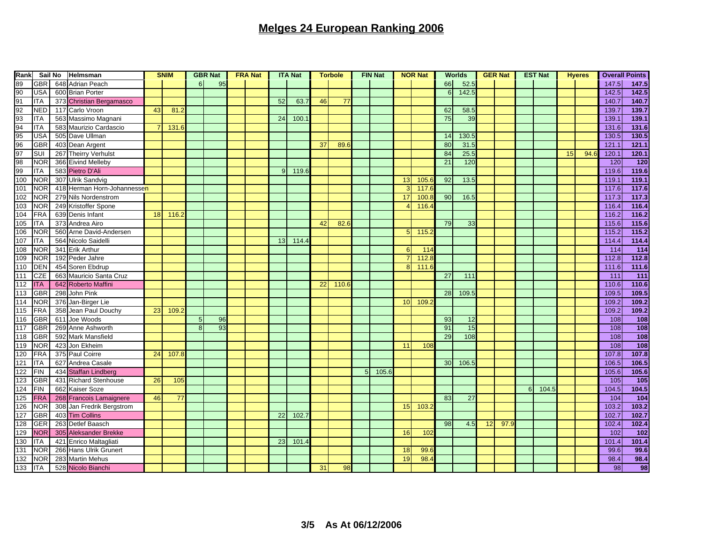| Rank |            | Sail No | Helmsman                    |    | <b>SNIM</b> |                | <b>GBR Nat</b> | <b>FRA Nat</b> |    | <b>ITA Nat</b> |    | <b>Torbole</b> |                | <b>FIN Nat</b> |                | <b>NOR Nat</b> |                  | <b>Worlds</b> |    | <b>GER Nat</b> |   | <b>EST Nat</b> |    | <b>Hyeres</b> |       | <b>Overall Points</b> |
|------|------------|---------|-----------------------------|----|-------------|----------------|----------------|----------------|----|----------------|----|----------------|----------------|----------------|----------------|----------------|------------------|---------------|----|----------------|---|----------------|----|---------------|-------|-----------------------|
|      | <b>GBR</b> |         | 648 Adrian Peach            |    |             | 6 <sup>1</sup> | 95             |                |    |                |    |                |                |                |                |                | 66               | 52.5          |    |                |   |                |    |               | 147.5 | 147.5                 |
|      | <b>USA</b> |         | 600 Brian Porter            |    |             |                |                |                |    |                |    |                |                |                |                |                | $6 \overline{6}$ | 142.5         |    |                |   |                |    |               | 142.5 | 142.5                 |
|      | <b>ITA</b> |         | 373 Christian Bergamasco    |    |             |                |                |                | 52 | 63.7           | 46 | 77             |                |                |                |                |                  |               |    |                |   |                |    |               | 140.7 | 140.7                 |
|      | <b>NED</b> | 117     | Carlo Vroon                 | 43 | 81.         |                |                |                |    |                |    |                |                |                |                |                | 62               | 58.5          |    |                |   |                |    |               | 139.7 | 139.7                 |
|      | <b>ITA</b> |         | 563 Massimo Magnani         |    |             |                |                |                | 24 | 100.7          |    |                |                |                |                |                | 75               | 39            |    |                |   |                |    |               | 139.1 | 139.1                 |
|      | <b>ITA</b> |         | 583 Maurizio Cardascio      |    | 131.        |                |                |                |    |                |    |                |                |                |                |                |                  |               |    |                |   |                |    |               | 131.6 | 131.6                 |
|      | <b>USA</b> |         | 505 Dave Ullman             |    |             |                |                |                |    |                |    |                |                |                |                |                | 14               | 130.5         |    |                |   |                |    |               | 130.5 | 130.5                 |
|      | <b>GBR</b> |         | 403 Dean Argent             |    |             |                |                |                |    |                | 37 | 89.            |                |                |                |                | 80               | 31.5          |    |                |   |                |    |               | 121.1 | 121.1                 |
|      | SUI        | 267     | <b>Theirry Verhulst</b>     |    |             |                |                |                |    |                |    |                |                |                |                |                | 84               | 25.5          |    |                |   |                | 15 | 94.           | 120.1 | 120.1                 |
|      | <b>NOR</b> |         | 366 Eivind Melleby          |    |             |                |                |                |    |                |    |                |                |                |                |                | 21               | 120           |    |                |   |                |    |               | 120   | $\frac{1}{20}$        |
|      | <b>ITA</b> |         | 583 Pietro D'Ali            |    |             |                |                |                | q  | 119.6          |    |                |                |                |                |                |                  |               |    |                |   |                |    |               | 119.6 | 119.6                 |
| 100  | NOR        | 307     | <b>Ulrik Sandvig</b>        |    |             |                |                |                |    |                |    |                |                |                | 13             | 105.6          | 92               | 13.5          |    |                |   |                |    |               | 119.1 | 119.1                 |
| 101  | <b>NOR</b> |         | 418 Herman Horn-Johannessen |    |             |                |                |                |    |                |    |                |                |                |                | 117.6          |                  |               |    |                |   |                |    |               | 117.6 | 117.6                 |
| 102  | <b>NOR</b> |         | 279 Nils Nordenstrom        |    |             |                |                |                |    |                |    |                |                |                | 17             | 100.8          | 90               | 16.5          |    |                |   |                |    |               | 117.3 | 117.3                 |
| 103  | <b>NOR</b> |         | 249 Kristoffer Spone        |    |             |                |                |                |    |                |    |                |                |                |                | 116.4          |                  |               |    |                |   |                |    |               | 116.4 | 116.4                 |
| 104  | <b>FRA</b> |         | 639 Denis Infant            | 18 | 116.        |                |                |                |    |                |    |                |                |                |                |                |                  |               |    |                |   |                |    |               | 116.2 | 116.2                 |
| 105  | <b>ITA</b> |         | 373 Andrea Airo             |    |             |                |                |                |    |                | 42 | 82.            |                |                |                |                | 79               | 33            |    |                |   |                |    |               | 115.6 | 115.6                 |
| 106  | <b>NOR</b> |         | 560 Arne David-Andersen     |    |             |                |                |                |    |                |    |                |                |                | 5 <sup>1</sup> | 115.2          |                  |               |    |                |   |                |    |               | 115.2 | 115.2                 |
| 107  | ITA        |         | 564 Nicolo Saidelli         |    |             |                |                |                | 13 | 114.4          |    |                |                |                |                |                |                  |               |    |                |   |                |    |               | 114.4 | 114.4                 |
| 108  | NOR        | 341     | <b>Erik Arthur</b>          |    |             |                |                |                |    |                |    |                |                |                | $\epsilon$     | 114            |                  |               |    |                |   |                |    |               | 114   | $\overline{114}$      |
| 109  | <b>NOR</b> |         | 192 Peder Jahre             |    |             |                |                |                |    |                |    |                |                |                |                | 112.8          |                  |               |    |                |   |                |    |               | 112.8 | 112.8                 |
| 110  | DEN        |         | 454 Soren Ebdrup            |    |             |                |                |                |    |                |    |                |                |                | $\mathbf{8}$   | 111.6          |                  |               |    |                |   |                |    |               | 111.6 | 111.6                 |
| 111  | CZE        |         | 663 Mauricio Santa Cruz     |    |             |                |                |                |    |                |    |                |                |                |                |                | 27               | 111           |    |                |   |                |    |               | 111   | 111                   |
|      |            |         |                             |    |             |                |                |                |    |                |    |                |                |                |                |                |                  |               |    |                |   |                |    |               |       |                       |
| 112  | <b>ITA</b> |         | 642 Roberto Maffini         |    |             |                |                |                |    |                | 22 | 110.           |                |                |                |                |                  |               |    |                |   |                |    |               | 110.6 | 110.6                 |
| 113  | <b>GBR</b> |         | 298 John Pink               |    |             |                |                |                |    |                |    |                |                |                |                |                | 28               | 109.5         |    |                |   |                |    |               | 109.5 | 109.5                 |
| 114  | <b>NOR</b> |         | 376 Jan-Birger Lie          |    |             |                |                |                |    |                |    |                |                |                | 10             | 109.3          |                  |               |    |                |   |                |    |               | 109.2 | 109.2                 |
| 115  | FRA        |         | 358 Jean Paul Douchy        | 23 | 109.        |                |                |                |    |                |    |                |                |                |                |                |                  |               |    |                |   |                |    |               | 109.2 | 109.2                 |
| 116  | <b>GBR</b> | 611     | Joe Woods                   |    |             |                | 96             |                |    |                |    |                |                |                |                |                | 93               | 12            |    |                |   |                |    |               | 108   | 108                   |
| 117  | <b>GBR</b> |         | 269 Anne Ashworth           |    |             | 8              | 93             |                |    |                |    |                |                |                |                |                | 91               | 15            |    |                |   |                |    |               | 108   | 108                   |
| 118  | <b>GBR</b> |         | 592 Mark Mansfield          |    |             |                |                |                |    |                |    |                |                |                |                |                | 29               | 108           |    |                |   |                |    |               | 108   | 108                   |
| 119  | NOR        |         | 423 Jon Ekheim              |    |             |                |                |                |    |                |    |                |                |                | 11             | 108            |                  |               |    |                |   |                |    |               | 108   | 108                   |
| 120  | <b>FRA</b> |         | 375 Paul Coirre             | 24 | 107.        |                |                |                |    |                |    |                |                |                |                |                |                  |               |    |                |   |                |    |               | 107.8 | 107.8                 |
| 121  | <b>ITA</b> | 627     | Andrea Casale               |    |             |                |                |                |    |                |    |                |                |                |                |                | 30               | 106.5         |    |                |   |                |    |               | 106.5 | 106.5                 |
| 122  | <b>FIN</b> |         | 434 Staffan Lindberg        |    |             |                |                |                |    |                |    |                | 5 <sup>5</sup> | 105.6          |                |                |                  |               |    |                |   |                |    |               | 105.6 | 105.6                 |
| 123  | <b>GBR</b> |         | 431 Richard Stenhouse       | 26 | 105         |                |                |                |    |                |    |                |                |                |                |                |                  |               |    |                |   |                |    |               | 105   | $\frac{105}{2}$       |
| 124  | <b>FIN</b> | 662     | Kaiser Soze                 |    |             |                |                |                |    |                |    |                |                |                |                |                |                  |               |    |                | 6 | 104.5          |    |               | 104.5 | 104.5                 |
| 125  | <b>FRA</b> |         | 268 Francois Lamaignere     | 46 | 77          |                |                |                |    |                |    |                |                |                |                |                | 83               | 27            |    |                |   |                |    |               | 104   | 104                   |
| 126  | <b>NOR</b> |         | 308 Jan Fredrik Bergstrom   |    |             |                |                |                |    |                |    |                |                |                | 15             | 103.2          |                  |               |    |                |   |                |    |               | 103.2 | 103.2                 |
| 127  | <b>GBR</b> |         | 403 Tim Collins             |    |             |                |                |                | 22 | 102.           |    |                |                |                |                |                |                  |               |    |                |   |                |    |               | 102.7 | 102.7                 |
| 128  | <b>GER</b> |         | 263 Detlef Baasch           |    |             |                |                |                |    |                |    |                |                |                |                |                | 98               | 4.5           | 12 | 97             |   |                |    |               | 102.4 | 102.4                 |
| 129  | <b>NOR</b> |         | 305 Aleksander Brekke       |    |             |                |                |                |    |                |    |                |                |                | 16             | 102            |                  |               |    |                |   |                |    |               | 102   | 102                   |
| 130  | <b>ITA</b> |         | 421 Enrico Maltagliati      |    |             |                |                |                | 23 | 101.           |    |                |                |                |                |                |                  |               |    |                |   |                |    |               | 101.4 | 101.4                 |
| 131  | <b>NOR</b> |         | 266 Hans Ulrik Grunert      |    |             |                |                |                |    |                |    |                |                |                | 18             | 99.6           |                  |               |    |                |   |                |    |               | 99.6  | 99.6                  |
| 132  | <b>NOR</b> | 283     | <b>Martin Mehus</b>         |    |             |                |                |                |    |                |    |                |                |                | 19             | 98.4           |                  |               |    |                |   |                |    |               | 98.4  | 98.4                  |
| 133  | <b>ITA</b> |         | 528 Nicolo Bianchi          |    |             |                |                |                |    |                | 31 | 98             |                |                |                |                |                  |               |    |                |   |                |    |               | 98    | 98                    |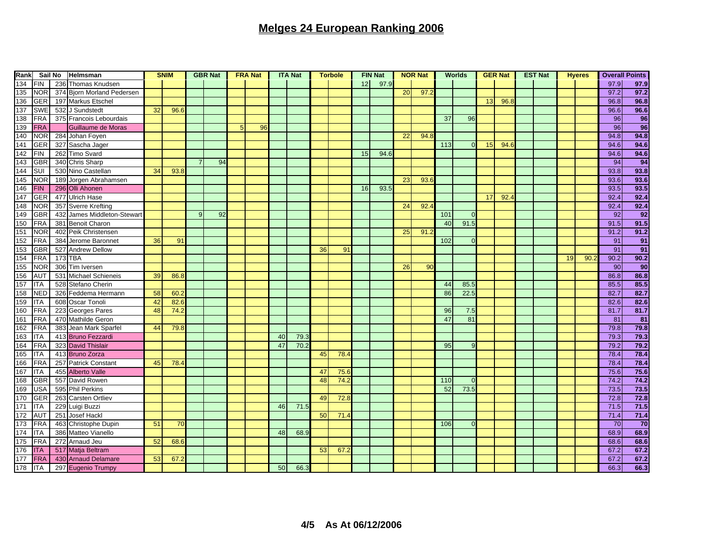| Rank | Sail No<br>Helmsman |     | <b>SNIM</b>                 |    | <b>GBR Nat</b> |  | <b>FRA Nat</b> |   |    | <b>ITA Nat</b><br><b>Torbole</b> |      |    | <b>FIN Nat</b> |    | <b>NOR Nat</b> |    |      | <b>Worlds</b> |          | <b>GER Nat</b> | <b>EST Nat</b> |  | <b>Hyeres</b> |      | <b>Overall Points</b> |                 |
|------|---------------------|-----|-----------------------------|----|----------------|--|----------------|---|----|----------------------------------|------|----|----------------|----|----------------|----|------|---------------|----------|----------------|----------------|--|---------------|------|-----------------------|-----------------|
| 134  | <b>FIN</b>          |     | 236 Thomas Knudsen          |    |                |  |                |   |    |                                  |      |    |                | 12 | 97.9           |    |      |               |          |                |                |  |               |      | 97.9                  | 97.9            |
| 135  | <b>NOR</b>          |     | 374 Bjorn Morland Pedersen  |    |                |  |                |   |    |                                  |      |    |                |    |                | 20 | 97.2 |               |          |                |                |  |               |      | 97.2                  | 97.2            |
| 136  | <b>GER</b>          |     | 197 Markus Etschel          |    |                |  |                |   |    |                                  |      |    |                |    |                |    |      |               |          | 13             | 96.            |  |               |      | 96.8                  | 96.8            |
| 137  | <b>SWE</b>          |     | 532 J Sundstedt             | 32 | 96.6           |  |                |   |    |                                  |      |    |                |    |                |    |      |               |          |                |                |  |               |      | 96.6                  | 96.6            |
| 138  | <b>FRA</b>          |     | 375 Francois Lebourdais     |    |                |  |                |   |    |                                  |      |    |                |    |                |    |      | 37            | 96       |                |                |  |               |      | 96                    | 96              |
| 139  | <b>FRA</b>          |     | Guillaume de Moras          |    |                |  |                | 5 | 96 |                                  |      |    |                |    |                |    |      |               |          |                |                |  |               |      | 96                    | $\overline{96}$ |
| 140  | <b>NOR</b>          |     | 284 Johan Foyen             |    |                |  |                |   |    |                                  |      |    |                |    |                | 22 | 94.8 |               |          |                |                |  |               |      | 94.8                  | 94.8            |
| 141  | GER                 |     | 327 Sascha Jager            |    |                |  |                |   |    |                                  |      |    |                |    |                |    |      | 113           |          | 15             | 94.            |  |               |      | 94.6                  | 94.6            |
| 142  | <b>FIN</b>          |     | 262 Timo Svard              |    |                |  |                |   |    |                                  |      |    |                | 15 | 94.6           |    |      |               |          |                |                |  |               |      | 94.6                  | 94.6            |
| 143  | <b>GBR</b>          |     | 340 Chris Sharp             |    |                |  | 94             |   |    |                                  |      |    |                |    |                |    |      |               |          |                |                |  |               |      | 94                    | 94              |
| 144  | SUI                 |     | 530 Nino Castellan          | 34 | 93.8           |  |                |   |    |                                  |      |    |                |    |                |    |      |               |          |                |                |  |               |      | 93.8                  | 93.8            |
| 145  | <b>NOR</b>          |     | 189 Jorgen Abrahamsen       |    |                |  |                |   |    |                                  |      |    |                |    |                | 23 | 93.6 |               |          |                |                |  |               |      | 93.6                  | 93.6            |
| 146  | <b>FIN</b>          |     | 296 Olli Ahonen             |    |                |  |                |   |    |                                  |      |    |                | 16 | 93.5           |    |      |               |          |                |                |  |               |      | 93.5                  | 93.5            |
| 147  | <b>GER</b>          |     | 477 Ulrich Hase             |    |                |  |                |   |    |                                  |      |    |                |    |                |    |      |               |          | 17             | 92.4           |  |               |      | 92.4                  | 92.4            |
| 148  | <b>NOR</b>          |     | 357 Sverre Krefting         |    |                |  |                |   |    |                                  |      |    |                |    |                | 24 | 92.4 |               |          |                |                |  |               |      | 92.4                  | 92.4            |
| 149  | <b>GBR</b>          |     | 432 James Middleton-Stewart |    |                |  | 92             |   |    |                                  |      |    |                |    |                |    |      | 101           |          |                |                |  |               |      | 92                    | $\overline{92}$ |
| 150  | <b>FRA</b>          |     | 381 Benoit Charon           |    |                |  |                |   |    |                                  |      |    |                |    |                |    |      | 40            | 91.5     |                |                |  |               |      | 91.5                  | 91.5            |
| 151  | <b>NOR</b>          |     | 402 Peik Christensen        |    |                |  |                |   |    |                                  |      |    |                |    |                | 25 | 91.2 |               |          |                |                |  |               |      | 91.2                  | 91.2            |
| 152  | <b>FRA</b>          |     | 384 Jerome Baronnet         | 36 | 91             |  |                |   |    |                                  |      |    |                |    |                |    |      | 102           | $\Omega$ |                |                |  |               |      | 91                    | 91              |
| 153  | <b>GBR</b>          | 527 | <b>Andrew Dellow</b>        |    |                |  |                |   |    |                                  |      | 36 | 91             |    |                |    |      |               |          |                |                |  |               |      | 91                    | 91              |
| 154  | FRA                 |     | 173 TBA                     |    |                |  |                |   |    |                                  |      |    |                |    |                |    |      |               |          |                |                |  | 19            | 90.3 | 90.2                  | 90.2            |
| 155  | <b>NOR</b>          |     | 306 Tim Iversen             |    |                |  |                |   |    |                                  |      |    |                |    |                | 26 | 90   |               |          |                |                |  |               |      | 90                    | $\overline{90}$ |
| 156  | <b>AUT</b>          |     | 531 Michael Schieneis       | 39 | 86.8           |  |                |   |    |                                  |      |    |                |    |                |    |      |               |          |                |                |  |               |      | 86.8                  | 86.8            |
| 157  |                     |     |                             |    |                |  |                |   |    |                                  |      |    |                |    |                |    |      |               |          |                |                |  |               |      |                       |                 |
|      | <b>ITA</b>          |     | 528 Stefano Cherin          |    |                |  |                |   |    |                                  |      |    |                |    |                |    |      | 44            | 85.5     |                |                |  |               |      | 85.5                  | 85.5            |
| 158  | <b>NED</b>          |     | 326 Feddema Hermann         | 58 | 60.2           |  |                |   |    |                                  |      |    |                |    |                |    |      | 86            | 22.5     |                |                |  |               |      | 82.7                  | 82.7            |
| 159  | <b>ITA</b>          |     | 608 Oscar Tonoli            | 42 | 82.6           |  |                |   |    |                                  |      |    |                |    |                |    |      |               |          |                |                |  |               |      | 82.6                  | 82.6            |
| 160  | <b>FRA</b>          |     | 223 Georges Pares           | 48 | 74.2           |  |                |   |    |                                  |      |    |                |    |                |    |      | 96            | 7.5      |                |                |  |               |      | 81.7                  | 81.7            |
| 161  | FRA                 |     | 470 Mathilde Geron          |    |                |  |                |   |    |                                  |      |    |                |    |                |    |      | 47            | 81       |                |                |  |               |      | 81                    | $\overline{81}$ |
| 162  | FRA                 |     | 383 Jean Mark Sparfel       | 44 | 79.8           |  |                |   |    |                                  |      |    |                |    |                |    |      |               |          |                |                |  |               |      | 79.8                  | 79.8            |
| 163  | <b>ITA</b>          |     | 413 Bruno Fezzardi          |    |                |  |                |   |    | 40                               | 79.3 |    |                |    |                |    |      |               |          |                |                |  |               |      | 79.3                  | 79.3            |
| 164  | <b>FRA</b>          |     | 323 David Thislair          |    |                |  |                |   |    | 47                               | 70.2 |    |                |    |                |    |      | 95            | 9        |                |                |  |               |      | 79.2                  | 79.2            |
| 165  | <b>ITA</b>          |     | 413 Bruno Zorza             |    |                |  |                |   |    |                                  |      | 45 | 78.4           |    |                |    |      |               |          |                |                |  |               |      | 78.4                  | 78.4            |
| 166  | <b>FRA</b>          |     | 257 Patrick Constant        | 45 | 78.4           |  |                |   |    |                                  |      |    |                |    |                |    |      |               |          |                |                |  |               |      | 78.4                  | 78.4            |
| 167  | <b>ITA</b>          |     | 455 Alberto Valle           |    |                |  |                |   |    |                                  |      | 47 | 75.1           |    |                |    |      |               |          |                |                |  |               |      | 75.6                  | 75.6            |
| 168  | <b>GBR</b>          |     | 557 David Rowen             |    |                |  |                |   |    |                                  |      | 48 | 74.            |    |                |    |      | 110           | $\Omega$ |                |                |  |               |      | 74.2                  | 74.2            |
| 169  | <b>USA</b>          |     | 595 Phil Perkins            |    |                |  |                |   |    |                                  |      |    |                |    |                |    |      | 52            | 73.5     |                |                |  |               |      | 73.5                  | 73.5            |
| 170  | <b>GER</b>          |     | 263 Carsten Ortliev         |    |                |  |                |   |    |                                  |      | 49 | 72.8           |    |                |    |      |               |          |                |                |  |               |      | 72.8                  | 72.8            |
| 171  | <b>ITA</b>          |     | 229 Luigi Buzzi             |    |                |  |                |   |    | 46                               | 71.5 |    |                |    |                |    |      |               |          |                |                |  |               |      | 71.5                  | 71.5            |
| 172  | <b>AUT</b>          |     | 251 Josef Hackl             |    |                |  |                |   |    |                                  |      | 50 | 71.4           |    |                |    |      |               |          |                |                |  |               |      | 71.4                  | 71.4            |
| 173  | FRA                 |     | 463 Christophe Dupin        | 51 | 70             |  |                |   |    |                                  |      |    |                |    |                |    |      | 106           |          |                |                |  |               |      | 70                    | 70              |
| 174  | <b>ITA</b>          |     | 386 Matteo Vianello         |    |                |  |                |   |    | 48                               | 68.9 |    |                |    |                |    |      |               |          |                |                |  |               |      | 68.9                  | 68.9            |
| 175  | FRA                 |     | 272 Arnaud Jeu              | 52 | 68.6           |  |                |   |    |                                  |      |    |                |    |                |    |      |               |          |                |                |  |               |      | 68.6                  | 68.6            |
| 176  | <b>ITA</b>          |     | 517 Matja Beltram           |    |                |  |                |   |    |                                  |      | 53 | 67.            |    |                |    |      |               |          |                |                |  |               |      | 67.2                  | 67.2            |
| 177  | <b>FRA</b>          |     | 430 Arnaud Delamare         | 53 | 67.2           |  |                |   |    |                                  |      |    |                |    |                |    |      |               |          |                |                |  |               |      | 67.2                  | 67.2            |
| 178  | <b>ITA</b>          |     | 297 Eugenio Trumpy          |    |                |  |                |   |    | 50                               | 66.3 |    |                |    |                |    |      |               |          |                |                |  |               |      | 66.3                  | 66.3            |